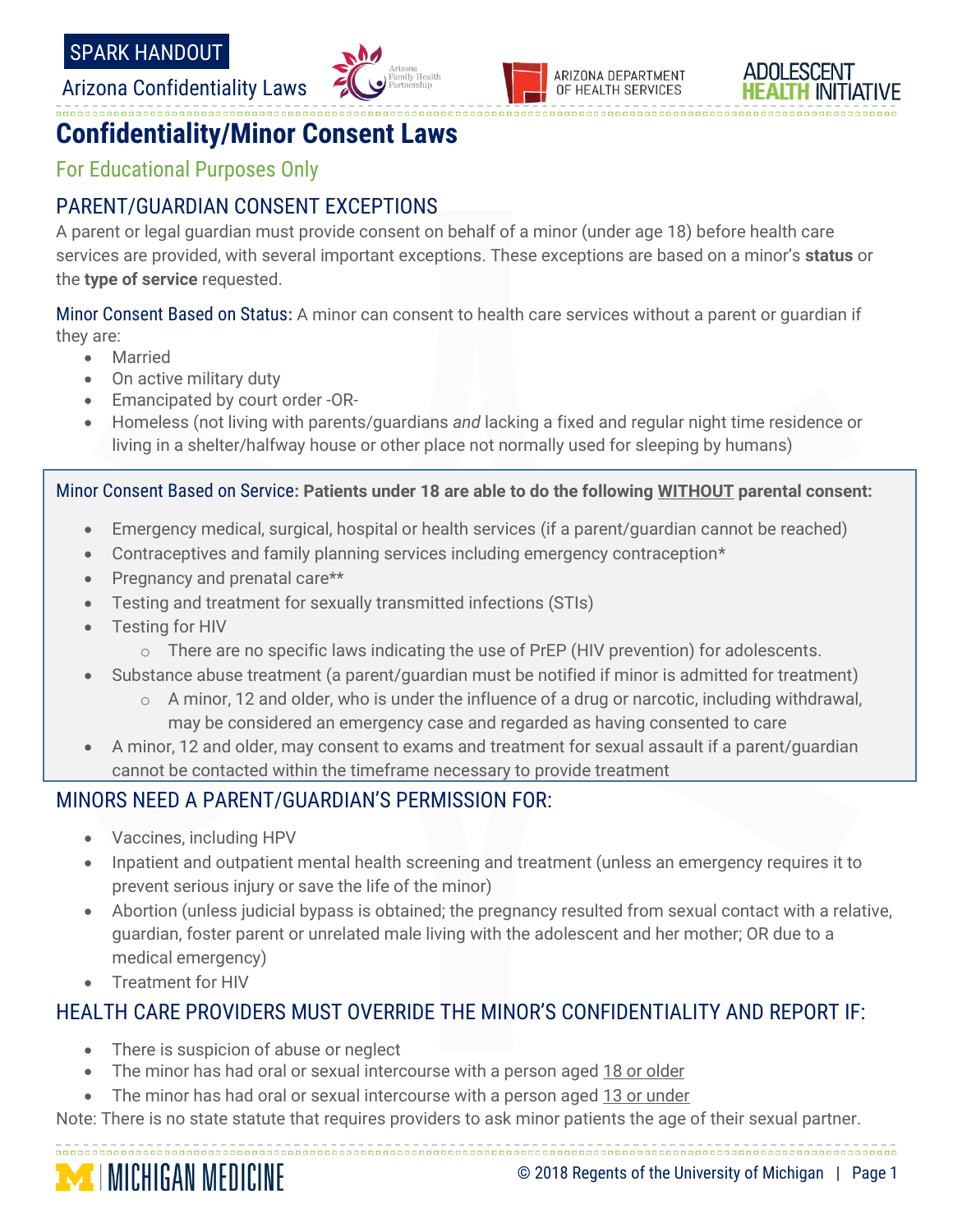Arizona Confidentiality Laws







# **Confidentiality/Minor Consent Laws**

For Educational Purposes Only

## PARENT/GUARDIAN CONSENT EXCEPTIONS

A parent or legal guardian must provide consent on behalf of a minor (under age 18) before health care services are provided, with several important exceptions. These exceptions are based on a minor's **status** or the **type of service** requested.

00000000000000000000

Minor Consent Based on Status**:** A minor can consent to health care services without a parent or guardian if they are:

- Married
- On active military duty
- Emancipated by court order -OR-
- Homeless (not living with parents/guardians *and* lacking a fixed and regular night time residence or living in a shelter/halfway house or other place not normally used for sleeping by humans)

Minor Consent Based on Service**: Patients under 18 are able to do the following WITHOUT parental consent:**

- Emergency medical, surgical, hospital or health services (if a parent/guardian cannot be reached)
- Contraceptives and family planning services including emergency contraception\*
- Pregnancy and prenatal care\*\*
- Testing and treatment for sexually transmitted infections (STIs)
- Testing for HIV
	- $\circ$  There are no specific laws indicating the use of PrEP (HIV prevention) for adolescents.
- Substance abuse treatment (a parent/guardian must be notified if minor is admitted for treatment)
	- $\circ$  A minor, 12 and older, who is under the influence of a drug or narcotic, including withdrawal, may be considered an emergency case and regarded as having consented to care
- A minor, 12 and older, may consent to exams and treatment for sexual assault if a parent/guardian cannot be contacted within the timeframe necessary to provide treatment

#### MINORS NEED A PARENT/GUARDIAN'S PERMISSION FOR:

- Vaccines, including HPV
- Inpatient and outpatient mental health screening and treatment (unless an emergency requires it to prevent serious injury or save the life of the minor)
- Abortion (unless judicial bypass is obtained; the pregnancy resulted from sexual contact with a relative, guardian, foster parent or unrelated male living with the adolescent and her mother; OR due to a medical emergency)
- Treatment for HIV

### HEALTH CARE PROVIDERS MUST OVERRIDE THE MINOR'S CONFIDENTIALITY AND REPORT IF:

- There is suspicion of abuse or neglect
- The minor has had oral or sexual intercourse with a person aged 18 or older
- The minor has had oral or sexual intercourse with a person aged 13 or under

Note: There is no state statute that requires providers to ask minor patients the age of their sexual partner.

**MICHIGAN MEDICINE**